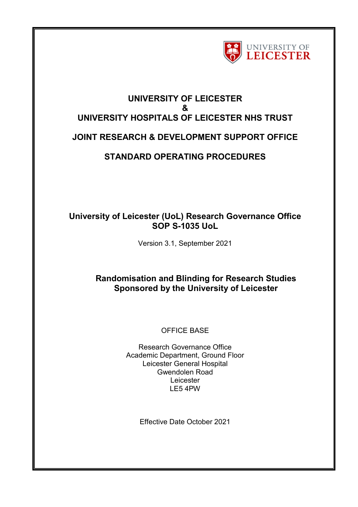

# **UNIVERSITY OF LEICESTER & UNIVERSITY HOSPITALS OF LEICESTER NHS TRUST**

# **JOINT RESEARCH & DEVELOPMENT SUPPORT OFFICE**

# **STANDARD OPERATING PROCEDURES**

# **University of Leicester (UoL) Research Governance Office SOP S-1035 UoL**

Version 3.1, September 2021

# **Randomisation and Blinding for Research Studies Sponsored by the University of Leicester**

# OFFICE BASE

Research Governance Office Academic Department, Ground Floor Leicester General Hospital Gwendolen Road Leicester LE5 4PW

Effective Date October 2021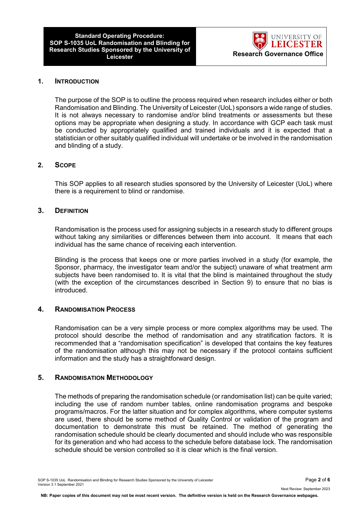**Standard Operating Procedure: SOP S-1035 UoL Randomisation and Blinding for Research Studies Sponsored by the University of** 



#### **1. INTRODUCTION**

The purpose of the SOP is to outline the process required when research includes either or both Randomisation and Blinding. The University of Leicester (UoL) sponsors a wide range of studies. It is not always necessary to randomise and/or blind treatments or assessments but these options may be appropriate when designing a study. In accordance with GCP each task must be conducted by appropriately qualified and trained individuals and it is expected that a statistician or other suitably qualified individual will undertake or be involved in the randomisation and blinding of a study.

#### **2. SCOPE**

This SOP applies to all research studies sponsored by the University of Leicester (UoL) where there is a requirement to blind or randomise.

#### **3. DEFINITION**

Randomisation is the process used for assigning subjects in a research study to different groups without taking any similarities or differences between them into account. It means that each individual has the same chance of receiving each intervention.

Blinding is the process that keeps one or more parties involved in a study (for example, the Sponsor, pharmacy, the investigator team and/or the subject) unaware of what treatment arm subjects have been randomised to. It is vital that the blind is maintained throughout the study (with the exception of the circumstances described in Section 9) to ensure that no bias is introduced.

#### **4. RANDOMISATION PROCESS**

Randomisation can be a very simple process or more complex algorithms may be used. The protocol should describe the method of randomisation and any stratification factors. It is recommended that a "randomisation specification" is developed that contains the key features of the randomisation although this may not be necessary if the protocol contains sufficient information and the study has a straightforward design.

# **5. RANDOMISATION METHODOLOGY**

The methods of preparing the randomisation schedule (or randomisation list) can be quite varied; including the use of random number tables, online randomisation programs and bespoke programs/macros. For the latter situation and for complex algorithms, where computer systems are used, there should be some method of Quality Control or validation of the program and documentation to demonstrate this must be retained. The method of generating the randomisation schedule should be clearly documented and should include who was responsible for its generation and who had access to the schedule before database lock. The randomisation schedule should be version controlled so it is clear which is the final version.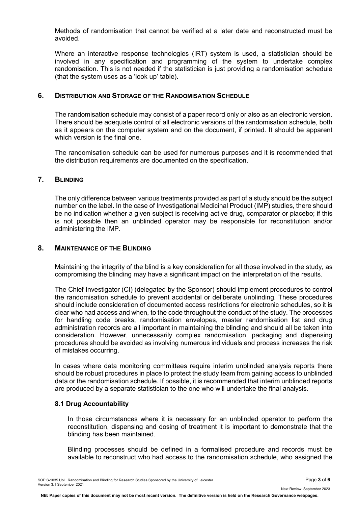Methods of randomisation that cannot be verified at a later date and reconstructed must be avoided.

Where an interactive response technologies (IRT) system is used, a statistician should be involved in any specification and programming of the system to undertake complex randomisation. This is not needed if the statistician is just providing a randomisation schedule (that the system uses as a 'look up' table).

#### **6. DISTRIBUTION AND STORAGE OF THE RANDOMISATION SCHEDULE**

The randomisation schedule may consist of a paper record only or also as an electronic version. There should be adequate control of all electronic versions of the randomisation schedule, both as it appears on the computer system and on the document, if printed. It should be apparent which version is the final one.

The randomisation schedule can be used for numerous purposes and it is recommended that the distribution requirements are documented on the specification.

# **7. BLINDING**

The only difference between various treatments provided as part of a study should be the subject number on the label. In the case of Investigational Medicinal Product (IMP) studies, there should be no indication whether a given subject is receiving active drug, comparator or placebo; if this is not possible then an unblinded operator may be responsible for reconstitution and/or administering the IMP.

#### **8. MAINTENANCE OF THE BLINDING**

Maintaining the integrity of the blind is a key consideration for all those involved in the study, as compromising the blinding may have a significant impact on the interpretation of the results.

The Chief Investigator (CI) (delegated by the Sponsor) should implement procedures to control the randomisation schedule to prevent accidental or deliberate unblinding. These procedures should include consideration of documented access restrictions for electronic schedules, so it is clear who had access and when, to the code throughout the conduct of the study. The processes for handling code breaks, randomisation envelopes, master randomisation list and drug administration records are all important in maintaining the blinding and should all be taken into consideration. However, unnecessarily complex randomisation, packaging and dispensing procedures should be avoided as involving numerous individuals and process increases the risk of mistakes occurring.

In cases where data monitoring committees require interim unblinded analysis reports there should be robust procedures in place to protect the study team from gaining access to unblinded data or the randomisation schedule. If possible, it is recommended that interim unblinded reports are produced by a separate statistician to the one who will undertake the final analysis.

#### **8.1 Drug Accountability**

In those circumstances where it is necessary for an unblinded operator to perform the reconstitution, dispensing and dosing of treatment it is important to demonstrate that the blinding has been maintained.

Blinding processes should be defined in a formalised procedure and records must be available to reconstruct who had access to the randomisation schedule, who assigned the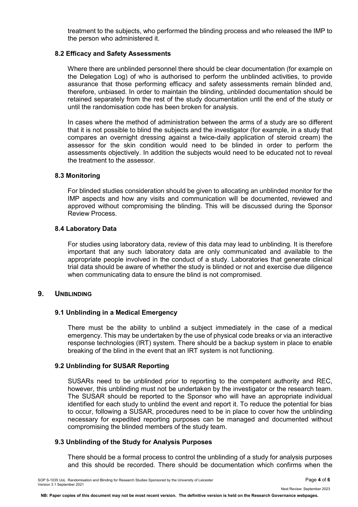treatment to the subjects, who performed the blinding process and who released the IMP to the person who administered it.

#### **8.2 Efficacy and Safety Assessments**

Where there are unblinded personnel there should be clear documentation (for example on the Delegation Log) of who is authorised to perform the unblinded activities, to provide assurance that those performing efficacy and safety assessments remain blinded and, therefore, unbiased. In order to maintain the blinding, unblinded documentation should be retained separately from the rest of the study documentation until the end of the study or until the randomisation code has been broken for analysis.

In cases where the method of administration between the arms of a study are so different that it is not possible to blind the subjects and the investigator (for example, in a study that compares an overnight dressing against a twice-daily application of steroid cream) the assessor for the skin condition would need to be blinded in order to perform the assessments objectively. In addition the subjects would need to be educated not to reveal the treatment to the assessor.

#### **8.3 Monitoring**

For blinded studies consideration should be given to allocating an unblinded monitor for the IMP aspects and how any visits and communication will be documented, reviewed and approved without compromising the blinding. This will be discussed during the Sponsor Review Process.

#### **8.4 Laboratory Data**

For studies using laboratory data, review of this data may lead to unblinding. It is therefore important that any such laboratory data are only communicated and available to the appropriate people involved in the conduct of a study. Laboratories that generate clinical trial data should be aware of whether the study is blinded or not and exercise due diligence when communicating data to ensure the blind is not compromised.

# **9. UNBLINDING**

# **9.1 Unblinding in a Medical Emergency**

There must be the ability to unblind a subject immediately in the case of a medical emergency. This may be undertaken by the use of physical code breaks or via an interactive response technologies (IRT) system. There should be a backup system in place to enable breaking of the blind in the event that an IRT system is not functioning.

# **9.2 Unblinding for SUSAR Reporting**

SUSARs need to be unblinded prior to reporting to the competent authority and REC, however, this unblinding must not be undertaken by the investigator or the research team. The SUSAR should be reported to the Sponsor who will have an appropriate individual identified for each study to unblind the event and report it. To reduce the potential for bias to occur, following a SUSAR, procedures need to be in place to cover how the unblinding necessary for expedited reporting purposes can be managed and documented without compromising the blinded members of the study team.

# **9.3 Unblinding of the Study for Analysis Purposes**

There should be a formal process to control the unblinding of a study for analysis purposes and this should be recorded. There should be documentation which confirms when the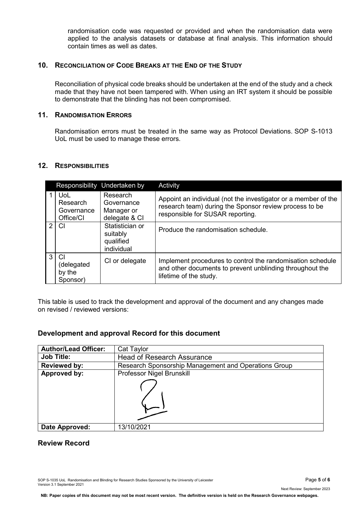randomisation code was requested or provided and when the randomisation data were applied to the analysis datasets or database at final analysis. This information should contain times as well as dates.

# **10. RECONCILIATION OF CODE BREAKS AT THE END OF THE STUDY**

Reconciliation of physical code breaks should be undertaken at the end of the study and a check made that they have not been tampered with. When using an IRT system it should be possible to demonstrate that the blinding has not been compromised.

# **11. RANDOMISATION ERRORS**

Randomisation errors must be treated in the same way as Protocol Deviations. SOP S-1013 UoL must be used to manage these errors.

# **12. RESPONSIBILITIES**

| Responsibility Undertaken by |                                               |                                                        | Activity                                                                                                                                                     |
|------------------------------|-----------------------------------------------|--------------------------------------------------------|--------------------------------------------------------------------------------------------------------------------------------------------------------------|
|                              | UoL<br>Research<br>Governance<br>Office/CI    | Research<br>Governance<br>Manager or<br>delegate & CI  | Appoint an individual (not the investigator or a member of the<br>research team) during the Sponsor review process to be<br>responsible for SUSAR reporting. |
| $\mathcal{P}$                | CI                                            | Statistician or<br>suitably<br>qualified<br>individual | Produce the randomisation schedule.                                                                                                                          |
| 3                            | <b>CI</b><br>(delegated<br>by the<br>Sponsor) | CI or delegate                                         | Implement procedures to control the randomisation schedule<br>and other documents to prevent unblinding throughout the<br>lifetime of the study.             |

This table is used to track the development and approval of the document and any changes made on revised / reviewed versions:

# **Development and approval Record for this document**

| <b>Author/Lead Officer:</b> | Cat Taylor                                           |
|-----------------------------|------------------------------------------------------|
| <b>Job Title:</b>           | <b>Head of Research Assurance</b>                    |
| <b>Reviewed by:</b>         | Research Sponsorship Management and Operations Group |
| Approved by:                | Professor Nigel Brunskill                            |
|                             |                                                      |
| Date Approved:              | 13/10/2021                                           |

# **Review Record**

Next Review: September 2023